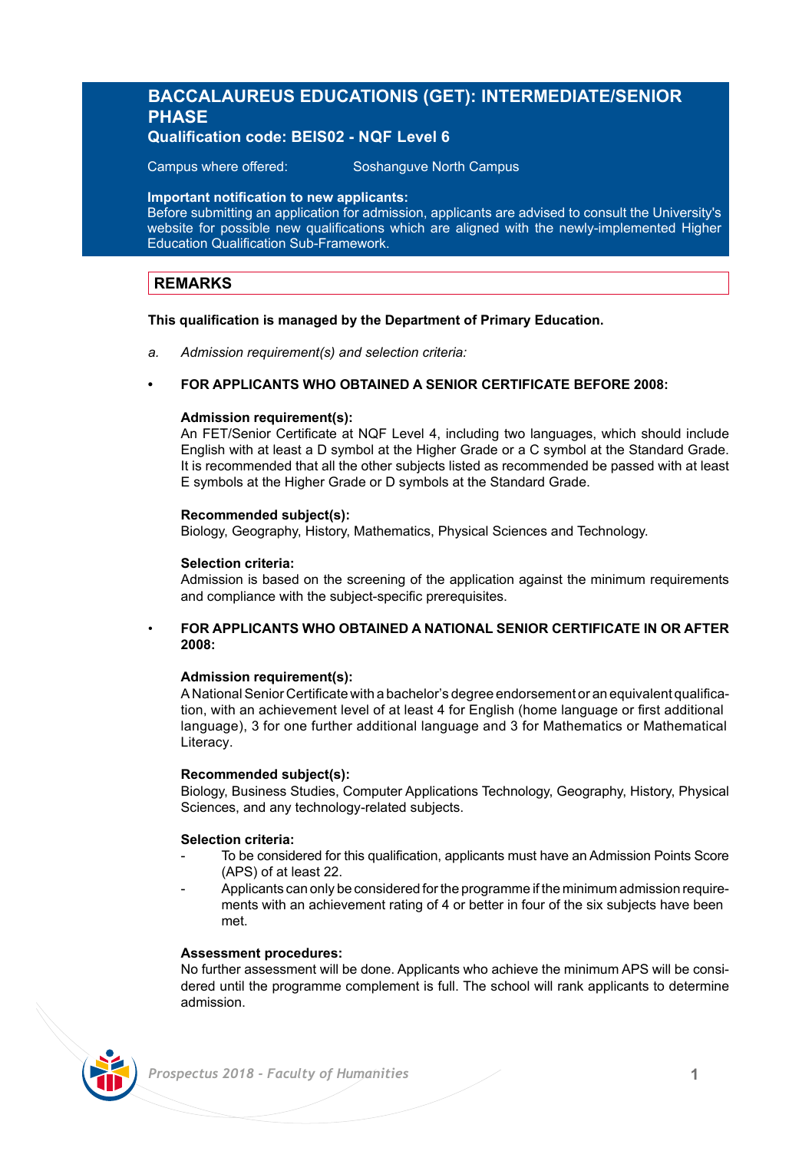# **BACCALAUREUS EDUCATIONIS (GET): INTERMEDIATE/SENIOR PHASE**

# **Qualification code: BEIS02 - NQF Level 6**

Campus where offered: Soshanguve North Campus

### **Important notification to new applicants:**

Before submitting an application for admission, applicants are advised to consult the University's website for possible new qualifications which are aligned with the newly-implemented Higher Education Qualification Sub-Framework.

# **REMARKS**

### **This qualification is managed by the Department of Primary Education.**

*a. Admission requirement(s) and selection criteria:*

### **• FOR APPLICANTS WHO OBTAINED A SENIOR CERTIFICATE BEFORE 2008:**

### **Admission requirement(s):**

An FET/Senior Certificate at NQF Level 4, including two languages, which should include English with at least a D symbol at the Higher Grade or a C symbol at the Standard Grade. It is recommended that all the other subjects listed as recommended be passed with at least E symbols at the Higher Grade or D symbols at the Standard Grade.

### **Recommended subject(s):**

Biology, Geography, History, Mathematics, Physical Sciences and Technology.

### **Selection criteria:**

Admission is based on the screening of the application against the minimum requirements and compliance with the subject-specific prerequisites.

### • **FOR APPLICANTS WHO OBTAINED A NATIONAL SENIOR CERTIFICATE IN OR AFTER 2008:**

### **Admission requirement(s):**

A National Senior Certificate with a bachelor's degree endorsement or an equivalent qualification, with an achievement level of at least 4 for English (home language or first additional language), 3 for one further additional language and 3 for Mathematics or Mathematical Literacy.

### **Recommended subject(s):**

Biology, Business Studies, Computer Applications Technology, Geography, History, Physical Sciences, and any technology-related subjects.

### **Selection criteria:**

- To be considered for this qualification, applicants must have an Admission Points Score (APS) of at least 22.
- Applicants can only be considered for the programme if the minimum admission requirements with an achievement rating of 4 or better in four of the six subjects have been met.

### **Assessment procedures:**

No further assessment will be done. Applicants who achieve the minimum APS will be considered until the programme complement is full. The school will rank applicants to determine admission.

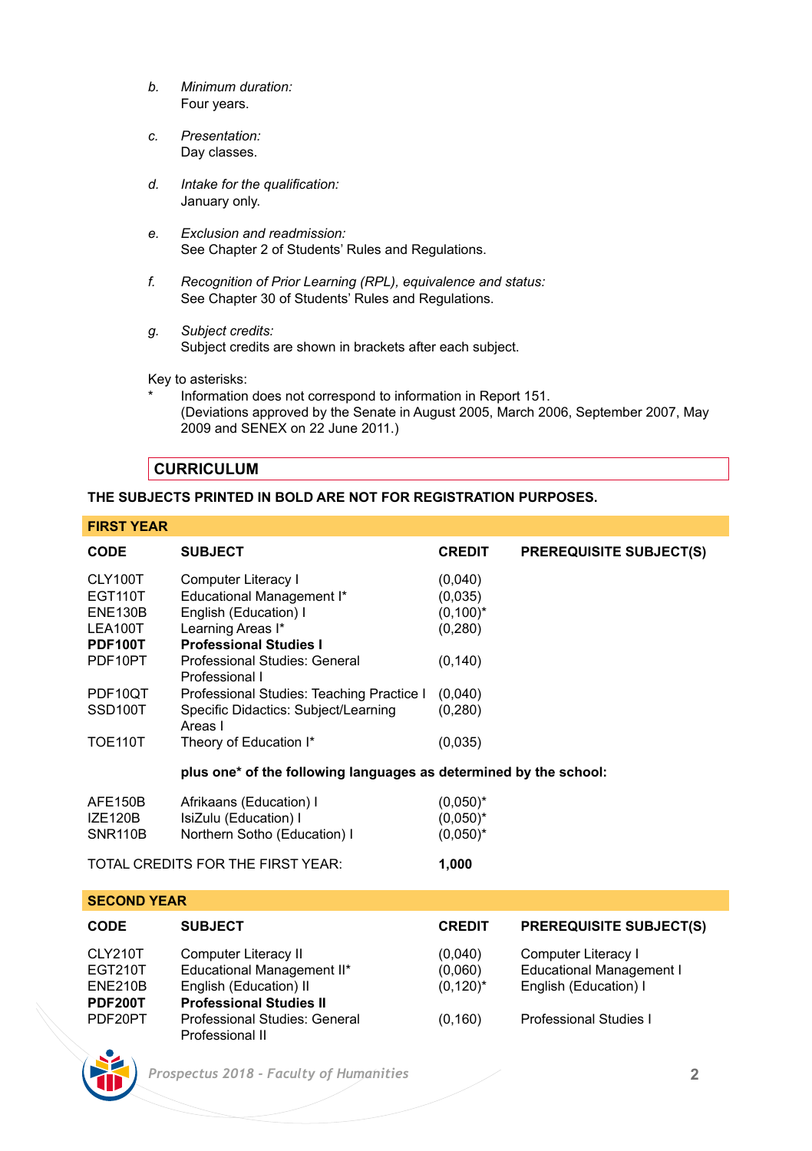- *b. Minimum duration:* Four years.
- *c. Presentation:*  Day classes.
- *d. Intake for the qualification:* January only.
- *e. Exclusion and readmission:* See Chapter 2 of Students' Rules and Regulations.
- *f. Recognition of Prior Learning (RPL), equivalence and status:* See Chapter 30 of Students' Rules and Regulations.
- *g. Subject credits:* Subject credits are shown in brackets after each subject.

Key to asterisks:

Information does not correspond to information in Report 151. (Deviations approved by the Senate in August 2005, March 2006, September 2007, May 2009 and SENEX on 22 June 2011.)

# **CURRICULUM**

### **THE SUBJECTS PRINTED IN BOLD ARE NOT FOR REGISTRATION PURPOSES.**

### **FIRST YEAR**

| <b>CODE</b>          | <b>SUBJECT</b>                                                    | <b>CREDIT</b> | <b>PREREQUISITE SUBJECT(S)</b> |
|----------------------|-------------------------------------------------------------------|---------------|--------------------------------|
| CLY100T              | Computer Literacy I                                               | (0,040)       |                                |
| <b>EGT110T</b>       | Educational Management I*                                         | (0.035)       |                                |
| <b>ENE130B</b>       | English (Education) I                                             | $(0,100)^*$   |                                |
| LEA100T              | Learning Areas I*                                                 | (0, 280)      |                                |
| PDF100T              | <b>Professional Studies I</b>                                     |               |                                |
| PDF10PT              | Professional Studies: General<br>Professional I                   | (0, 140)      |                                |
| PDF10QT              | Professional Studies: Teaching Practice I                         | (0,040)       |                                |
| SSD <sub>100</sub> T | Specific Didactics: Subject/Learning<br>Areas I                   | (0, 280)      |                                |
| <b>TOE110T</b>       | Theory of Education I*                                            | (0.035)       |                                |
|                      | plus one* of the following languages as determined by the school: |               |                                |
| AFE150B              | Afrikaans (Education) I                                           | $(0.050)^*$   |                                |
| <b>IZE120B</b>       | IsiZulu (Education) I                                             | $(0.050)^*$   |                                |
| SNR110B              | Northern Sotho (Education) I                                      | $(0.050)^*$   |                                |
|                      | TOTAL CREDITS FOR THE FIRST YEAR:                                 | 1,000         |                                |

### **SECOND YEAR**

| <b>CODE</b>                          | <b>SUBJECT</b>                                                               | <b>CREDIT</b>                     | <b>PREREQUISITE SUBJECT(S)</b>                                                  |
|--------------------------------------|------------------------------------------------------------------------------|-----------------------------------|---------------------------------------------------------------------------------|
| CLY210T<br>EGT210T<br><b>ENE210B</b> | Computer Literacy II<br>Educational Management II*<br>English (Education) II | (0,040)<br>(0.060)<br>$(0,120)^*$ | Computer Literacy I<br><b>Educational Management I</b><br>English (Education) I |
| <b>PDF200T</b>                       | <b>Professional Studies II</b>                                               |                                   |                                                                                 |
| PDF20PT                              | Professional Studies: General<br>Professional II                             | (0, 160)                          | Professional Studies I                                                          |

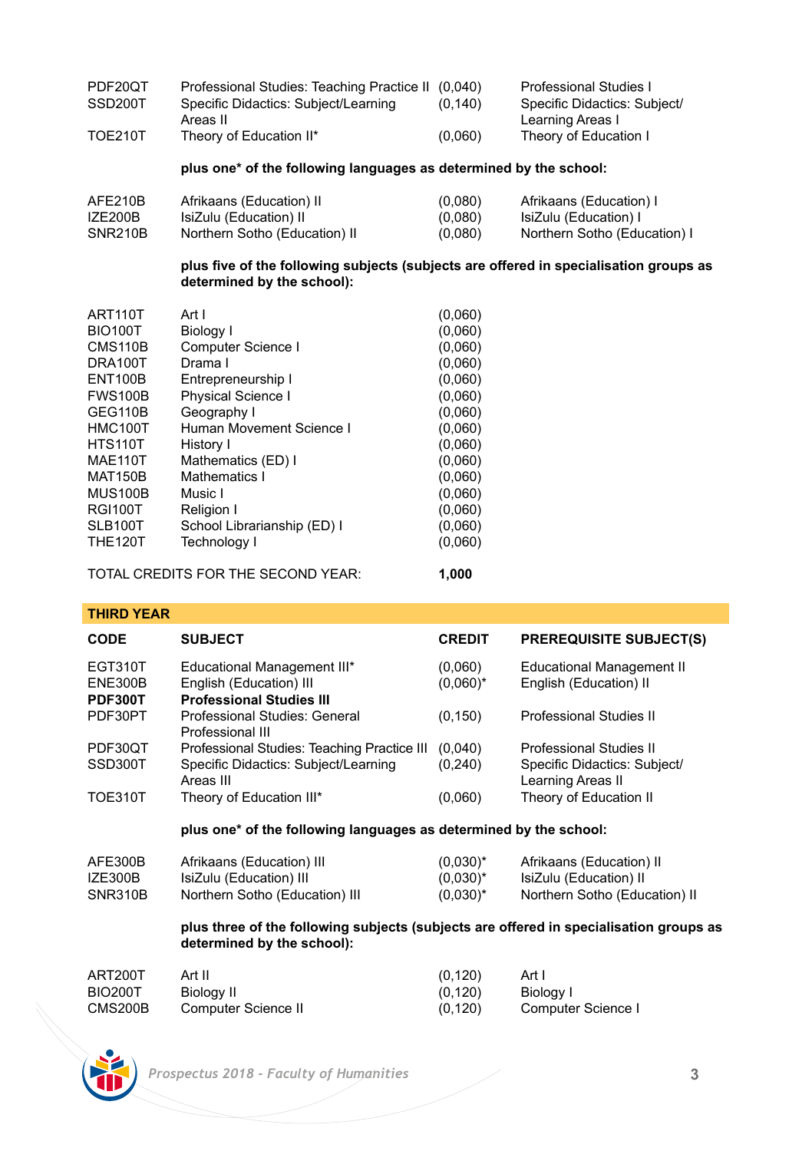| PDF20OT | Professional Studies: Teaching Practice II (0,040) |         | Professional Studies I                           |
|---------|----------------------------------------------------|---------|--------------------------------------------------|
| SSD200T | Specific Didactics: Subiect/Learning<br>Areas II   | (0.140) | Specific Didactics: Subiect/<br>Learning Areas I |
| TOE210T | Theory of Education II*                            | (0.060) | Theory of Education I                            |

### **plus one\* of the following languages as determined by the school:**

| AFE210B | Afrikaans (Education) II      | (0.080) | Afrikaans (Education) I      |
|---------|-------------------------------|---------|------------------------------|
| IZE200B | IsiZulu (Education) II        | (0.080) | IsiZulu (Education) I        |
| SNR210B | Northern Sotho (Education) II | (0.080) | Northern Sotho (Education) I |

### **plus five of the following subjects (subjects are offered in specialisation groups as determined by the school):**

| ART110T        | Art I                       | (0,060) |
|----------------|-----------------------------|---------|
| <b>BIO100T</b> | Biology I                   | (0,060) |
| <b>CMS110B</b> | Computer Science I          | (0,060) |
| DRA100T        | Drama I                     | (0,060) |
| <b>ENT100B</b> | Entrepreneurship I          | (0,060) |
| <b>FWS100B</b> | <b>Physical Science I</b>   | (0,060) |
| GEG110B        | Geography I                 | (0,060) |
| HMC100T        | Human Movement Science I    | (0,060) |
| <b>HTS110T</b> | History I                   | (0,060) |
| <b>MAE110T</b> | Mathematics (ED) I          | (0,060) |
| <b>MAT150B</b> | Mathematics I               | (0,060) |
| <b>MUS100B</b> | Music I                     | (0,060) |
| <b>RGI100T</b> | Religion I                  | (0,060) |
| SLB100T        | School Librarianship (ED) I | (0,060) |
| <b>THE120T</b> | <b>Technology I</b>         | (0,060) |
|                |                             |         |

TOTAL CREDITS FOR THE SECOND YEAR: **1,000**

| <b>THIRD YEAR</b>             |                                                                                                                      |                        |                                                            |  |
|-------------------------------|----------------------------------------------------------------------------------------------------------------------|------------------------|------------------------------------------------------------|--|
| <b>CODE</b>                   | <b>SUBJECT</b>                                                                                                       | <b>CREDIT</b>          | <b>PREREQUISITE SUBJECT(S)</b>                             |  |
| EGT310T<br>ENE300B<br>PDF300T | Educational Management III*<br>English (Education) III<br><b>Professional Studies III</b>                            | (0,060)<br>$(0.060)^*$ | <b>Educational Management II</b><br>English (Education) II |  |
| PDF30PT                       | Professional Studies: General<br>Professional III                                                                    | (0, 150)               | Professional Studies II                                    |  |
| PDF30QT                       | Professional Studies: Teaching Practice III                                                                          | (0,040)                | Professional Studies II                                    |  |
| SSD300T                       | Specific Didactics: Subject/Learning<br>Areas III                                                                    | (0, 240)               | Specific Didactics: Subject/<br>Learning Areas II          |  |
| <b>TOE310T</b>                | Theory of Education III*                                                                                             | (0,060)                | Theory of Education II                                     |  |
|                               | plus one* of the following languages as determined by the school:                                                    |                        |                                                            |  |
| AFE300B                       | Afrikaans (Education) III                                                                                            | $(0.030)^*$            | Afrikaans (Education) II                                   |  |
| IZE300B                       | IsiZulu (Education) III                                                                                              | $(0.030)^*$            | IsiZulu (Education) II                                     |  |
| SNR310B                       | Northern Sotho (Education) III                                                                                       | $(0.030)^*$            | Northern Sotho (Education) II                              |  |
|                               | plus three of the following subjects (subjects are offered in specialisation groups as<br>determined by the school): |                        |                                                            |  |
| ART200T                       | Art II                                                                                                               | (0.120)                | Art I                                                      |  |

| ART200T        | Art II              | (0, 120) | Art I              |
|----------------|---------------------|----------|--------------------|
| <b>BIO200T</b> | Biology II          | (0, 120) | Biology I          |
| CMS200B        | Computer Science II | (0, 120) | Computer Science I |

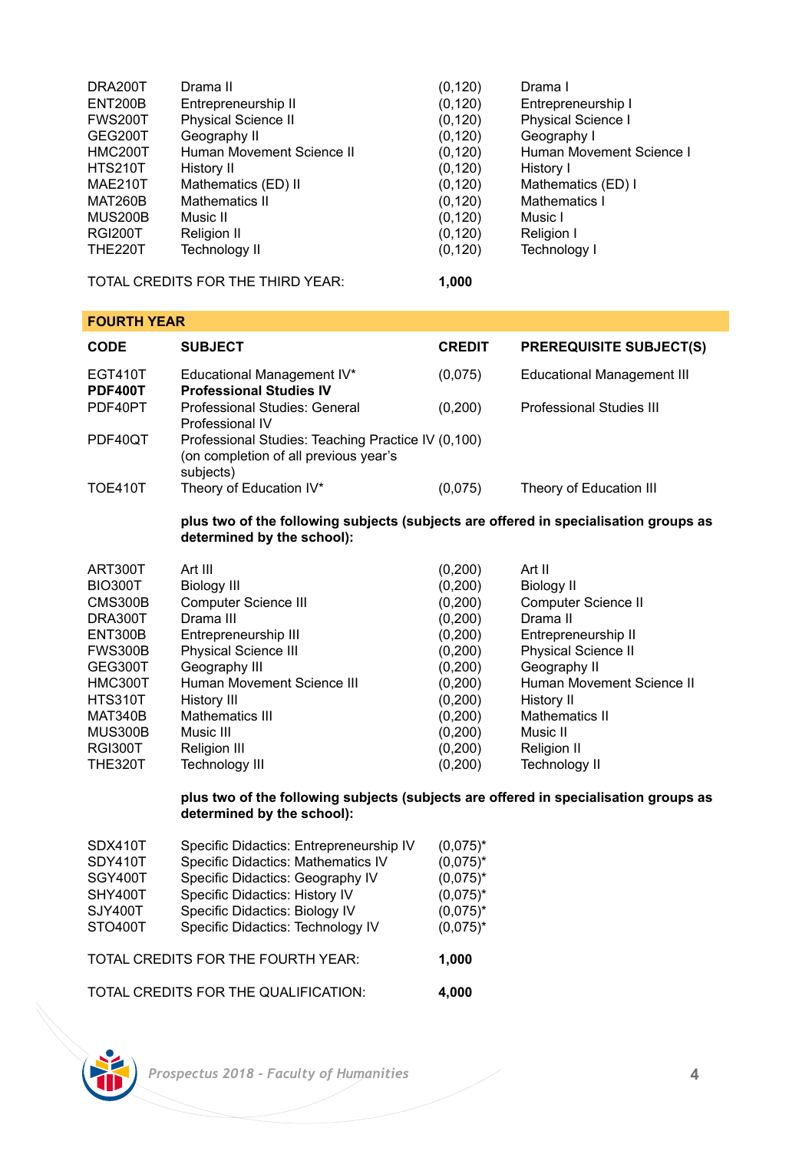| DRA200T        | Drama II                   | (0, 120) | Drama I                   |
|----------------|----------------------------|----------|---------------------------|
| ENT200B        | Entrepreneurship II        | (0, 120) | Entrepreneurship I        |
| <b>FWS200T</b> | <b>Physical Science II</b> | (0, 120) | <b>Physical Science I</b> |
| GEG200T        | Geography II               | (0, 120) | Geography I               |
| HMC200T        | Human Movement Science II  | (0, 120) | Human Movement Science I  |
| <b>HTS210T</b> | History II                 | (0, 120) | History I                 |
| MAE210T        | Mathematics (ED) II        | (0, 120) | Mathematics (ED) I        |
| <b>MAT260B</b> | Mathematics II             | (0, 120) | Mathematics I             |
| <b>MUS200B</b> | Music II                   | (0, 120) | Music I                   |
| <b>RGI200T</b> | Religion II                | (0, 120) | Religion I                |
| <b>THE220T</b> | <b>Technology II</b>       | (0, 120) | Technology I              |
|                |                            |          |                           |

TOTAL CREDITS FOR THE THIRD YEAR: **1,000**

# **FOURTH YEAR**

| <b>CODE</b>               | <b>SUBJECT</b>                                                                                           | <b>CREDIT</b> | <b>PREREQUISITE SUBJECT(S)</b>    |
|---------------------------|----------------------------------------------------------------------------------------------------------|---------------|-----------------------------------|
| EGT410T<br><b>PDF400T</b> | Educational Management IV*<br><b>Professional Studies IV</b>                                             | (0,075)       | <b>Educational Management III</b> |
| PDF40PT                   | Professional Studies: General<br>Professional IV                                                         | (0, 200)      | Professional Studies III          |
| PDF40QT                   | Professional Studies: Teaching Practice IV (0,100)<br>(on completion of all previous year's<br>subjects) |               |                                   |
| <b>TOE410T</b>            | Theory of Education IV*                                                                                  | (0,075)       | Theory of Education III           |

## **plus two of the following subjects (subjects are offered in specialisation groups as determined by the school):**

| ART300T        | Art III                     | (0, 200) | Art II                     |
|----------------|-----------------------------|----------|----------------------------|
| <b>BIO300T</b> | Biology III                 | (0,200)  | Biology II                 |
| CMS300B        | Computer Science III        | (0, 200) | Computer Science II        |
| DRA300T        | Drama III                   | (0, 200) | Drama II                   |
| ENT300B        | Entrepreneurship III        | (0,200)  | Entrepreneurship II        |
| FWS300B        | <b>Physical Science III</b> | (0, 200) | <b>Physical Science II</b> |
| GEG300T        | Geography III               | (0,200)  | Geography II               |
| HMC300T        | Human Movement Science III  | (0, 200) | Human Movement Science II  |
| HTS310T        | History III                 | (0,200)  | History II                 |
| MAT340B        | Mathematics III             | (0,200)  | Mathematics II             |
| MUS300B        | Music III                   | (0, 200) | Music II                   |
| <b>RGI300T</b> | Religion III                | (0,200)  | Religion II                |
| <b>THE320T</b> | <b>Technology III</b>       | (0, 200) | Technology II              |
|                |                             |          |                            |

### **plus two of the following subjects (subjects are offered in specialisation groups as determined by the school):**

| SDX410T | Specific Didactics: Entrepreneurship IV | $(0.075)^*$ |
|---------|-----------------------------------------|-------------|
| SDY410T | Specific Didactics: Mathematics IV      | $(0.075)^*$ |
| SGY400T | Specific Didactics: Geography IV        | $(0.075)^*$ |
| SHY400T | Specific Didactics: History IV          | $(0.075)^*$ |
| SJY400T | Specific Didactics: Biology IV          | $(0.075)^*$ |
| STO400T | Specific Didactics: Technology IV       | $(0.075)^*$ |
|         | TOTAL CREDITS FOR THE FOURTH YEAR:      | 1.000       |
|         | TOTAL CREDITS FOR THE QUALIFICATION:    | 4.000       |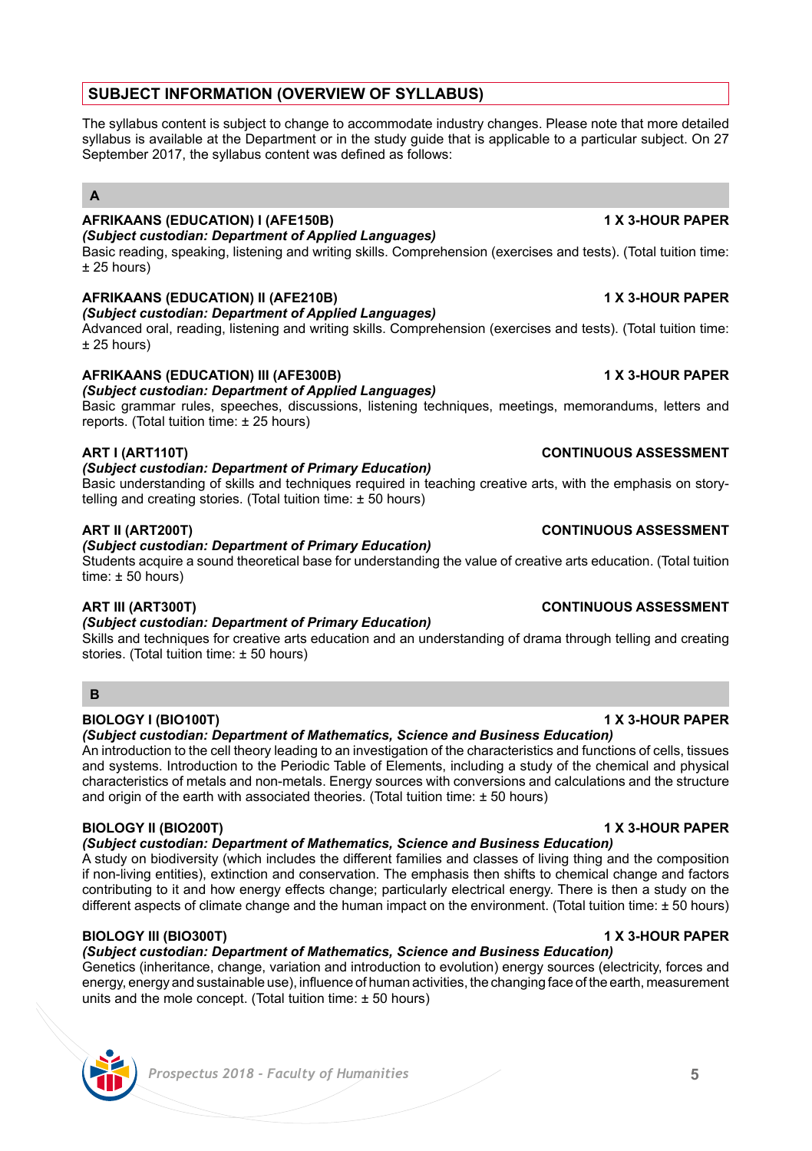# **SUBJECT INFORMATION (OVERVIEW OF SYLLABUS)**

The syllabus content is subject to change to accommodate industry changes. Please note that more detailed syllabus is available at the Department or in the study quide that is applicable to a particular subject. On 27 September 2017, the syllabus content was defined as follows:

# **A**

### **AFRIKAANS (EDUCATION) I (AFE150B) 1 X 3-HOUR PAPER** *(Subject custodian: Department of Applied Languages)*

Basic reading, speaking, listening and writing skills. Comprehension (exercises and tests). (Total tuition time: ± 25 hours)

# **AFRIKAANS (EDUCATION) II (AFE210B) 1 X 3-HOUR PAPER**

# *(Subject custodian: Department of Applied Languages)*

Advanced oral, reading, listening and writing skills. Comprehension (exercises and tests). (Total tuition time: ± 25 hours)

# **AFRIKAANS (EDUCATION) III (AFE300B) 1 X 3-HOUR PAPER**

### *(Subject custodian: Department of Applied Languages)*

Basic grammar rules, speeches, discussions, listening techniques, meetings, memorandums, letters and reports. (Total tuition time: ± 25 hours)

### **ART I (ART110T) CONTINUOUS ASSESSMENT**

### *(Subject custodian: Department of Primary Education)*

Basic understanding of skills and techniques required in teaching creative arts, with the emphasis on storytelling and creating stories. (Total tuition time: ± 50 hours)

# *(Subject custodian: Department of Primary Education)*

Students acquire a sound theoretical base for understanding the value of creative arts education. (Total tuition time:  $\pm$  50 hours)

### *(Subject custodian: Department of Primary Education)*

Skills and techniques for creative arts education and an understanding of drama through telling and creating stories. (Total tuition time: ± 50 hours)

# **B**

# **BIOLOGY I (BIO100T) 1 X 3-HOUR PAPER**

### *(Subject custodian: Department of Mathematics, Science and Business Education)*

An introduction to the cell theory leading to an investigation of the characteristics and functions of cells, tissues and systems. Introduction to the Periodic Table of Elements, including a study of the chemical and physical characteristics of metals and non-metals. Energy sources with conversions and calculations and the structure and origin of the earth with associated theories. (Total tuition time:  $\pm$  50 hours)

### **BIOLOGY II (BIO200T) 1 X 3-HOUR PAPER**

*(Subject custodian: Department of Mathematics, Science and Business Education)* 

A study on biodiversity (which includes the different families and classes of living thing and the composition if non-living entities), extinction and conservation. The emphasis then shifts to chemical change and factors contributing to it and how energy effects change; particularly electrical energy. There is then a study on the different aspects of climate change and the human impact on the environment. (Total tuition time: ± 50 hours)

# **BIOLOGY III (BIO300T) 1 X 3-HOUR PAPER**

# *(Subject custodian: Department of Mathematics, Science and Business Education)*

Genetics (inheritance, change, variation and introduction to evolution) energy sources (electricity, forces and energy, energy and sustainable use), influence of human activities, the changing face of the earth, measurement units and the mole concept. (Total tuition time: ± 50 hours)

# **ART II (ART200T) CONTINUOUS ASSESSMENT**

# **ART III (ART300T) CONTINUOUS ASSESSMENT**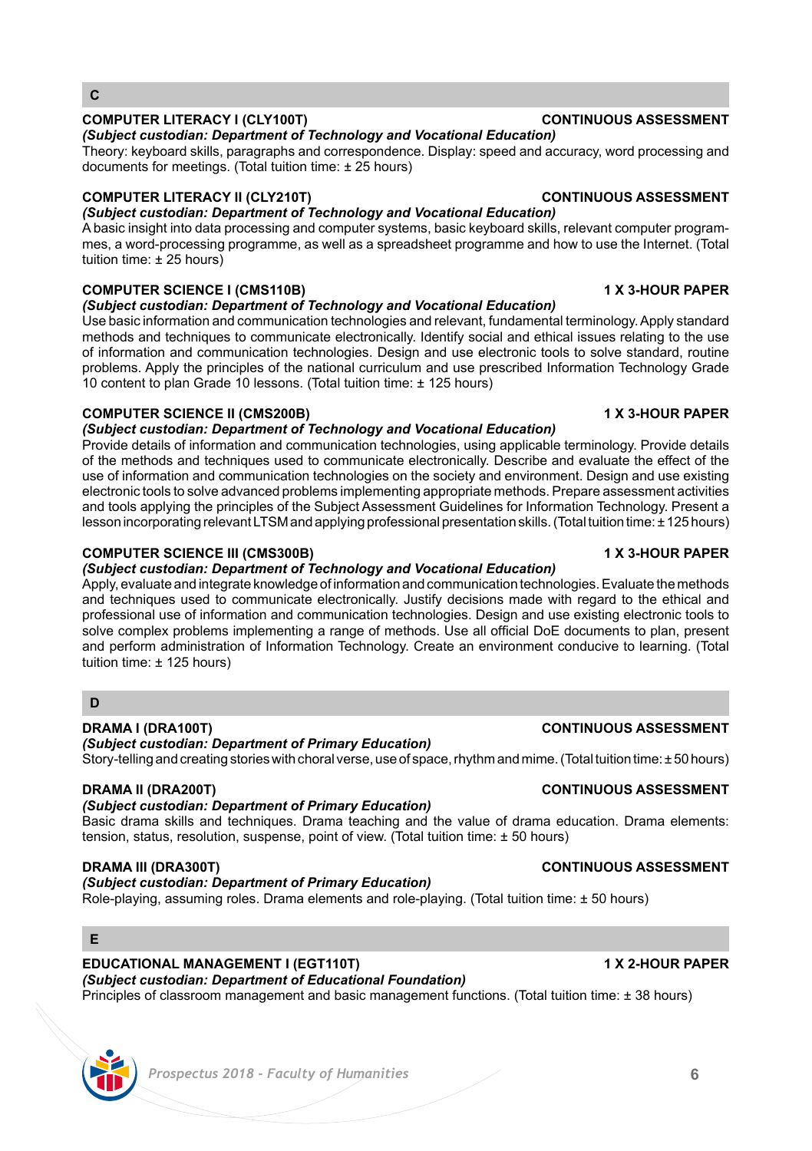# *Prospectus 2018 - Faculty of Humanities* **6**

# **COMPUTER LITERACY I (CLY100T) CONTINUOUS ASSESSMENT**

**C**

### *(Subject custodian: Department of Technology and Vocational Education)*

Theory: keyboard skills, paragraphs and correspondence. Display: speed and accuracy, word processing and documents for meetings. (Total tuition time: ± 25 hours)

# **COMPUTER LITERACY II (CLY210T) CONTINUOUS ASSESSMENT**

*(Subject custodian: Department of Technology and Vocational Education)*  A basic insight into data processing and computer systems, basic keyboard skills, relevant computer programmes, a word-processing programme, as well as a spreadsheet programme and how to use the Internet. (Total tuition time: ± 25 hours)

# **COMPUTER SCIENCE I (CMS110B) 1 X 3-HOUR PAPER**

# *(Subject custodian: Department of Technology and Vocational Education)*

Use basic information and communication technologies and relevant, fundamental terminology. Apply standard methods and techniques to communicate electronically. Identify social and ethical issues relating to the use of information and communication technologies. Design and use electronic tools to solve standard, routine problems. Apply the principles of the national curriculum and use prescribed Information Technology Grade 10 content to plan Grade 10 lessons. (Total tuition time: ± 125 hours)

# **COMPUTER SCIENCE II (CMS200B) 1 X 3-HOUR PAPER**

*(Subject custodian: Department of Technology and Vocational Education)*  Provide details of information and communication technologies, using applicable terminology. Provide details

of the methods and techniques used to communicate electronically. Describe and evaluate the effect of the use of information and communication technologies on the society and environment. Design and use existing electronic tools to solve advanced problems implementing appropriate methods. Prepare assessment activities and tools applying the principles of the Subject Assessment Guidelines for Information Technology. Present a lesson incorporating relevant LTSM and applying professional presentation skills. (Total tuition time: ± 125 hours)

# **COMPUTER SCIENCE III (CMS300B) 1 X 3-HOUR PAPER**

# *(Subject custodian: Department of Technology and Vocational Education)*

Apply, evaluate and integrate knowledge of information and communication technologies. Evaluate the methods and techniques used to communicate electronically. Justify decisions made with regard to the ethical and professional use of information and communication technologies. Design and use existing electronic tools to solve complex problems implementing a range of methods. Use all official DoE documents to plan, present and perform administration of Information Technology. Create an environment conducive to learning. (Total tuition time: ± 125 hours)

# **D**

### **DRAMA I (DRA100T) CONTINUOUS ASSESSMENT**

*(Subject custodian: Department of Primary Education)*

Story-telling and creating stories with choral verse, use of space, rhythm and mime. (Total tuition time: ± 50 hours)

# **DRAMA II (DRA200T) CONTINUOUS ASSESSMENT**

# *(Subject custodian: Department of Primary Education)*

Basic drama skills and techniques. Drama teaching and the value of drama education. Drama elements: tension, status, resolution, suspense, point of view. (Total tuition time: ± 50 hours)

# *(Subject custodian: Department of Primary Education)*

Role-playing, assuming roles. Drama elements and role-playing. (Total tuition time: ± 50 hours)

# **E**

### **EDUCATIONAL MANAGEMENT I (EGT110T) 1 X 2-HOUR PAPER** *(Subject custodian: Department of Educational Foundation)*

Principles of classroom management and basic management functions. (Total tuition time: ± 38 hours)

# **DRAMA III (DRA300T) CONTINUOUS ASSESSMENT**



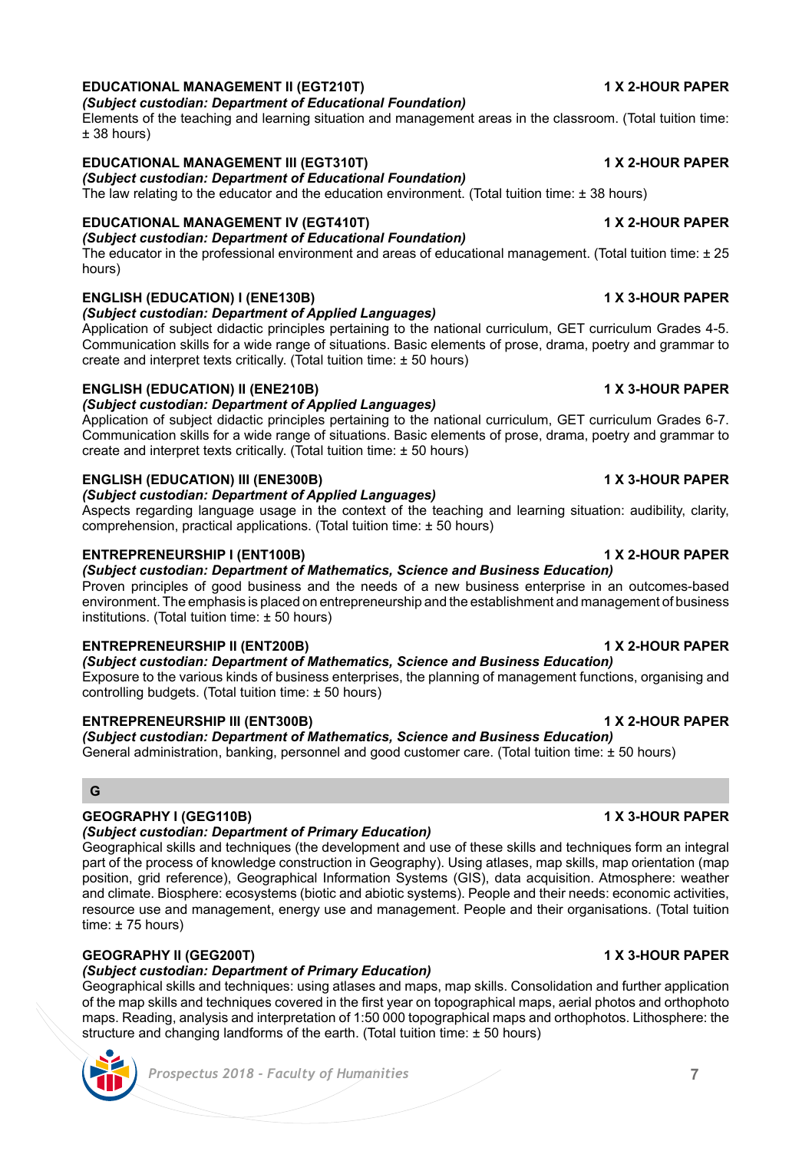Exposure to the various kinds of business enterprises, the planning of management functions, organising and controlling budgets. (Total tuition time: ± 50 hours)

### **ENTREPRENEURSHIP III (ENT300B) 1 X 2-HOUR PAPER**

*(Subject custodian: Department of Mathematics, Science and Business Education)*  General administration, banking, personnel and good customer care. (Total tuition time: ± 50 hours)

### **G**

## **GEOGRAPHY I (GEG110B) 1 X 3-HOUR PAPER**

### *(Subject custodian: Department of Primary Education)*

Geographical skills and techniques (the development and use of these skills and techniques form an integral part of the process of knowledge construction in Geography). Using atlases, map skills, map orientation (map position, grid reference), Geographical Information Systems (GIS), data acquisition. Atmosphere: weather and climate. Biosphere: ecosystems (biotic and abiotic systems). People and their needs: economic activities, resource use and management, energy use and management. People and their organisations. (Total tuition time: ± 75 hours)

### **GEOGRAPHY II (GEG200T) 1 X 3-HOUR PAPER**

# *(Subject custodian: Department of Primary Education)*

Geographical skills and techniques: using atlases and maps, map skills. Consolidation and further application of the map skills and techniques covered in the first year on topographical maps, aerial photos and orthophoto maps. Reading, analysis and interpretation of 1:50 000 topographical maps and orthophotos. Lithosphere: the structure and changing landforms of the earth. (Total tuition time: ± 50 hours)

### *Prospectus 2018 - Faculty of Humanities* **7**

### **EDUCATIONAL MANAGEMENT II (EGT210T) 1 X 2-HOUR PAPER** *(Subject custodian: Department of Educational Foundation)*

### Elements of the teaching and learning situation and management areas in the classroom. (Total tuition time: ± 38 hours)

### **EDUCATIONAL MANAGEMENT III (EGT310T) 1 X 2-HOUR PAPER**

*(Subject custodian: Department of Educational Foundation)*

The law relating to the educator and the education environment. (Total tuition time:  $\pm$  38 hours)

### **EDUCATIONAL MANAGEMENT IV (EGT410T) 1 X 2-HOUR PAPER** *(Subject custodian: Department of Educational Foundation)*

The educator in the professional environment and areas of educational management. (Total tuition time: ± 25 hours)

# **ENGLISH (EDUCATION) I (ENE130B) 1 X 3-HOUR PAPER**

### *(Subject custodian: Department of Applied Languages)*

Application of subject didactic principles pertaining to the national curriculum, GET curriculum Grades 4-5. Communication skills for a wide range of situations. Basic elements of prose, drama, poetry and grammar to create and interpret texts critically. (Total tuition time: ± 50 hours)

### **ENGLISH (EDUCATION) II (ENE210B) 1 X 3-HOUR PAPER** *(Subject custodian: Department of Applied Languages)*

Application of subject didactic principles pertaining to the national curriculum, GET curriculum Grades 6-7. Communication skills for a wide range of situations. Basic elements of prose, drama, poetry and grammar to create and interpret texts critically. (Total tuition time:  $+50$  hours).

### **ENGLISH (EDUCATION) III (ENE300B) 1 X 3-HOUR PAPER**

### *(Subject custodian: Department of Applied Languages)*

Aspects regarding language usage in the context of the teaching and learning situation: audibility, clarity, comprehension, practical applications. (Total tuition time: ± 50 hours)

### **ENTREPRENEURSHIP I (ENT100B) 1 X 2-HOUR PAPER**

# *(Subject custodian: Department of Mathematics, Science and Business Education)*

Proven principles of good business and the needs of a new business enterprise in an outcomes-based environment. The emphasis is placed on entrepreneurship and the establishment and management of business institutions. (Total tuition time: ± 50 hours)

*(Subject custodian: Department of Mathematics, Science and Business Education)* 

# **ENTREPRENEURSHIP II (ENT200B) 1 X 2-HOUR PAPER**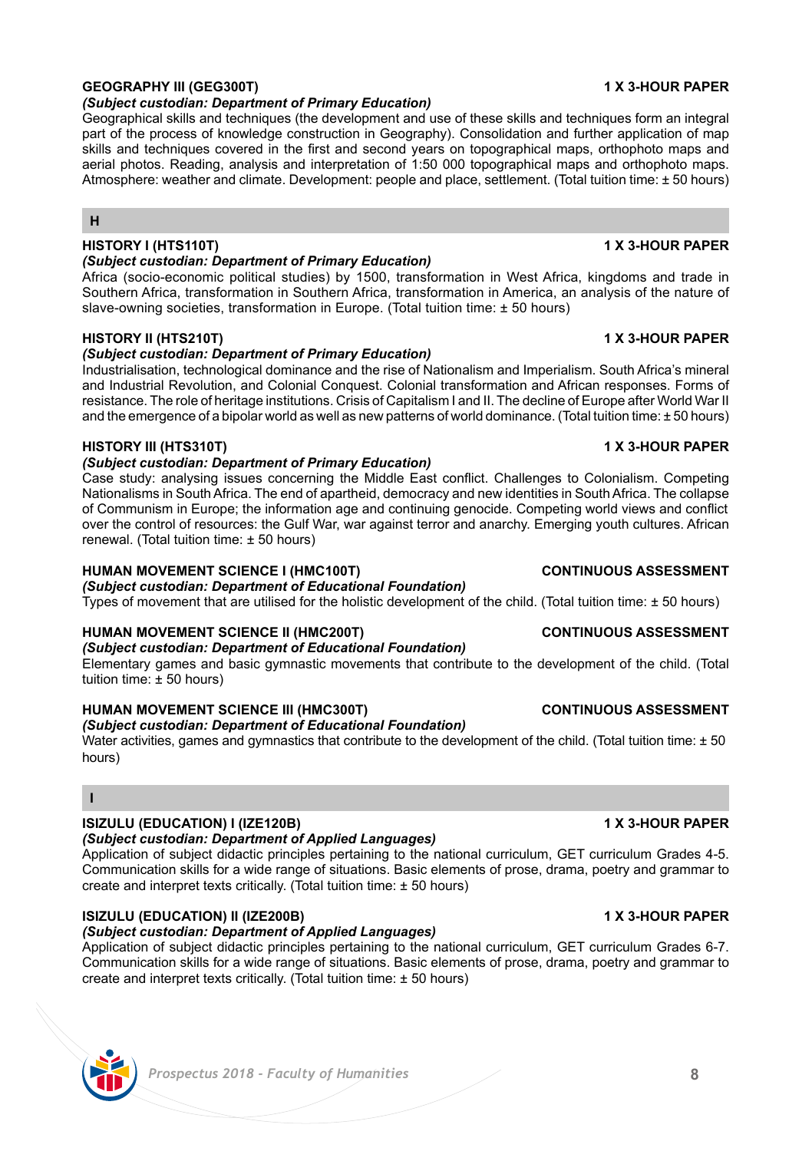# **GEOGRAPHY III (GEG300T) 1 X 3-HOUR PAPER**

# *(Subject custodian: Department of Primary Education)*

Geographical skills and techniques (the development and use of these skills and techniques form an integral part of the process of knowledge construction in Geography). Consolidation and further application of map skills and techniques covered in the first and second years on topographical maps, orthophoto maps and aerial photos. Reading, analysis and interpretation of 1:50 000 topographical maps and orthophoto maps. Atmosphere: weather and climate. Development: people and place, settlement. (Total tuition time: ± 50 hours)

# **H**

### **HISTORY I (HTS110T) 1 X 3-HOUR PAPER**

### *(Subject custodian: Department of Primary Education)*

Africa (socio-economic political studies) by 1500, transformation in West Africa, kingdoms and trade in Southern Africa, transformation in Southern Africa, transformation in America, an analysis of the nature of slave-owning societies, transformation in Europe. (Total tuition time: ± 50 hours)

## **HISTORY II (HTS210T) 1 X 3-HOUR PAPER**

# *(Subject custodian: Department of Primary Education)*

Industrialisation, technological dominance and the rise of Nationalism and Imperialism. South Africa's mineral and Industrial Revolution, and Colonial Conquest. Colonial transformation and African responses. Forms of resistance. The role of heritage institutions. Crisis of Capitalism I and II. The decline of Europe after World War II and the emergence of a bipolar world as well as new patterns of world dominance. (Total tuition time: ± 50 hours)

# **HISTORY III (HTS310T) 1 X 3-HOUR PAPER**

# *(Subject custodian: Department of Primary Education)*

Case study: analysing issues concerning the Middle East conflict. Challenges to Colonialism. Competing Nationalisms in South Africa. The end of apartheid, democracy and new identities in South Africa. The collapse of Communism in Europe; the information age and continuing genocide. Competing world views and conflict over the control of resources: the Gulf War, war against terror and anarchy. Emerging youth cultures. African renewal. (Total tuition time: ± 50 hours)

# **HUMAN MOVEMENT SCIENCE I (HMC100T) CONTINUOUS ASSESSMENT**

### *(Subject custodian: Department of Educational Foundation)* Types of movement that are utilised for the holistic development of the child. (Total tuition time: ± 50 hours)

# **HUMAN MOVEMENT SCIENCE II (HMC200T) CONTINUOUS ASSESSMENT**

### *(Subject custodian: Department of Educational Foundation)* Elementary games and basic gymnastic movements that contribute to the development of the child. (Total

tuition time: ± 50 hours)

# **HUMAN MOVEMENT SCIENCE III (HMC300T) CONTINUOUS ASSESSMENT**

# *(Subject custodian: Department of Educational Foundation)*

Water activities, games and gymnastics that contribute to the development of the child. (Total tuition time: ± 50 hours)

## **I**

# **ISIZULU (EDUCATION) I (IZE120B) 1 X 3-HOUR PAPER**

# *(Subject custodian: Department of Applied Languages)*

Application of subject didactic principles pertaining to the national curriculum, GET curriculum Grades 4-5. Communication skills for a wide range of situations. Basic elements of prose, drama, poetry and grammar to create and interpret texts critically. (Total tuition time:  $\pm$  50 hours)

# **ISIZULU (EDUCATION) II (IZE200B) 1 X 3-HOUR PAPER**

# *(Subject custodian: Department of Applied Languages)*

Application of subject didactic principles pertaining to the national curriculum, GET curriculum Grades 6-7. Communication skills for a wide range of situations. Basic elements of prose, drama, poetry and grammar to create and interpret texts critically. (Total tuition time:  $\pm$  50 hours)

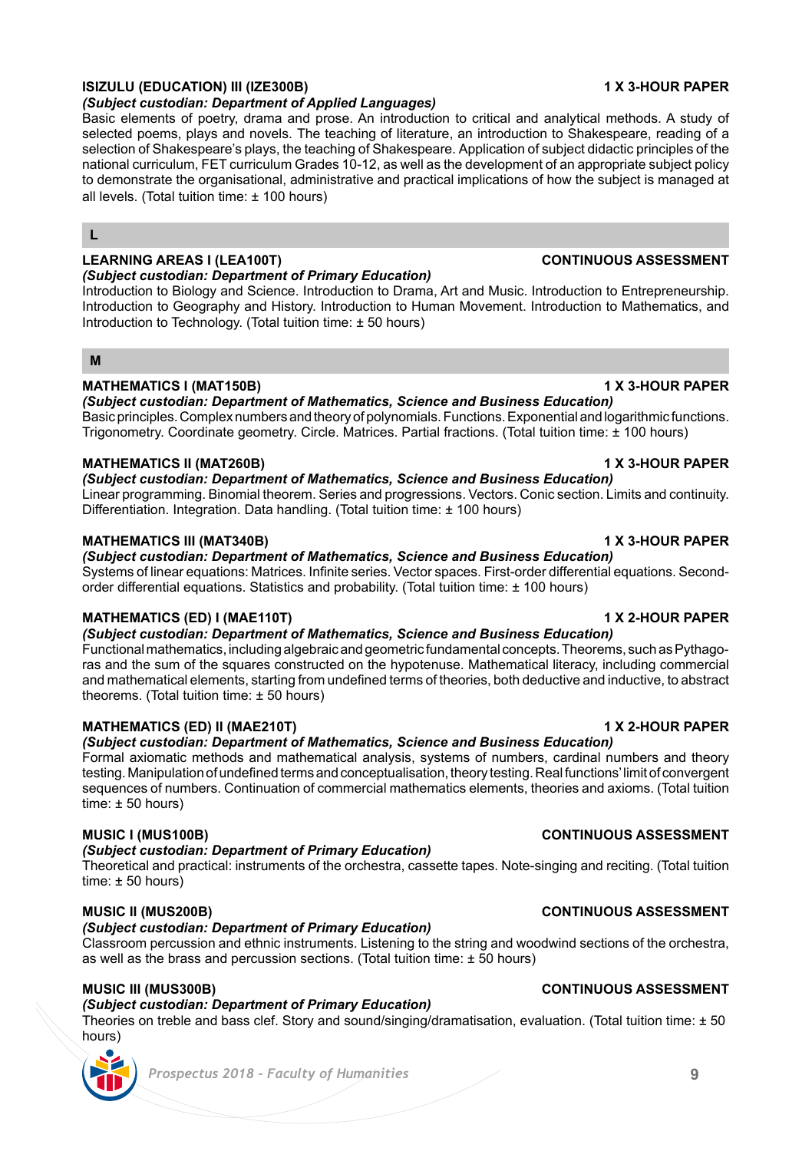# **ISIZULU (EDUCATION) III (IZE300B) 1 X 3-HOUR PAPER**

*(Subject custodian: Department of Applied Languages)*

Basic elements of poetry, drama and prose. An introduction to critical and analytical methods. A study of selected poems, plays and novels. The teaching of literature, an introduction to Shakespeare, reading of a selection of Shakespeare's plays, the teaching of Shakespeare. Application of subject didactic principles of the national curriculum, FET curriculum Grades 10-12, as well as the development of an appropriate subject policy to demonstrate the organisational, administrative and practical implications of how the subject is managed at all levels. (Total tuition time: ± 100 hours)

## **L**

# **LEARNING AREAS I (LEA100T) CONTINUOUS ASSESSMENT**

# *(Subject custodian: Department of Primary Education)*

Introduction to Biology and Science. Introduction to Drama, Art and Music. Introduction to Entrepreneurship. Introduction to Geography and History. Introduction to Human Movement. Introduction to Mathematics, and Introduction to Technology. (Total tuition time: ± 50 hours)

### **M**

# **MATHEMATICS I (MAT150B) 1 X 3-HOUR PAPER**

*(Subject custodian: Department of Mathematics, Science and Business Education)*  Basic principles. Complex numbers and theory of polynomials. Functions. Exponential and logarithmic functions. Trigonometry. Coordinate geometry. Circle. Matrices. Partial fractions. (Total tuition time: ± 100 hours)

# **MATHEMATICS II (MAT260B) 1 X 3-HOUR PAPER**

*(Subject custodian: Department of Mathematics, Science and Business Education)*  Linear programming. Binomial theorem. Series and progressions. Vectors. Conic section. Limits and continuity. Differentiation. Integration. Data handling. (Total tuition time: ± 100 hours)

# **MATHEMATICS III (MAT340B) 1 X 3-HOUR PAPER**

*(Subject custodian: Department of Mathematics, Science and Business Education)*  Systems of linear equations: Matrices. Infinite series. Vector spaces. First-order differential equations. Secondorder differential equations. Statistics and probability. (Total tuition time: ± 100 hours)

# **MATHEMATICS (ED) I (MAE110T) 1 X 2-HOUR PAPER**

*(Subject custodian: Department of Mathematics, Science and Business Education)*  Functional mathematics, including algebraic and geometric fundamental concepts. Theorems, such as Pythagoras and the sum of the squares constructed on the hypotenuse. Mathematical literacy, including commercial and mathematical elements, starting from undefined terms of theories, both deductive and inductive, to abstract theorems. (Total tuition time: ± 50 hours)

# **MATHEMATICS (ED) II (MAE210T) 1 X 2-HOUR PAPER**

*(Subject custodian: Department of Mathematics, Science and Business Education)* 

Formal axiomatic methods and mathematical analysis, systems of numbers, cardinal numbers and theory testing. Manipulation of undefined terms and conceptualisation, theory testing. Real functions' limit of convergent sequences of numbers. Continuation of commercial mathematics elements, theories and axioms. (Total tuition  $time: \pm 50$  hours)

# **MUSIC I (MUS100B) CONTINUOUS ASSESSMENT**

### *(Subject custodian: Department of Primary Education)*

Theoretical and practical: instruments of the orchestra, cassette tapes. Note-singing and reciting. (Total tuition time: ± 50 hours)

# **MUSIC II (MUS200B) CONTINUOUS ASSESSMENT**

# *(Subject custodian: Department of Primary Education)*

Classroom percussion and ethnic instruments. Listening to the string and woodwind sections of the orchestra, as well as the brass and percussion sections. (Total tuition time:  $\pm$  50 hours)

# **MUSIC III (MUS300B) CONTINUOUS ASSESSMENT**

# *(Subject custodian: Department of Primary Education)*

Theories on treble and bass clef. Story and sound/singing/dramatisation, evaluation. (Total tuition time: ± 50 hours)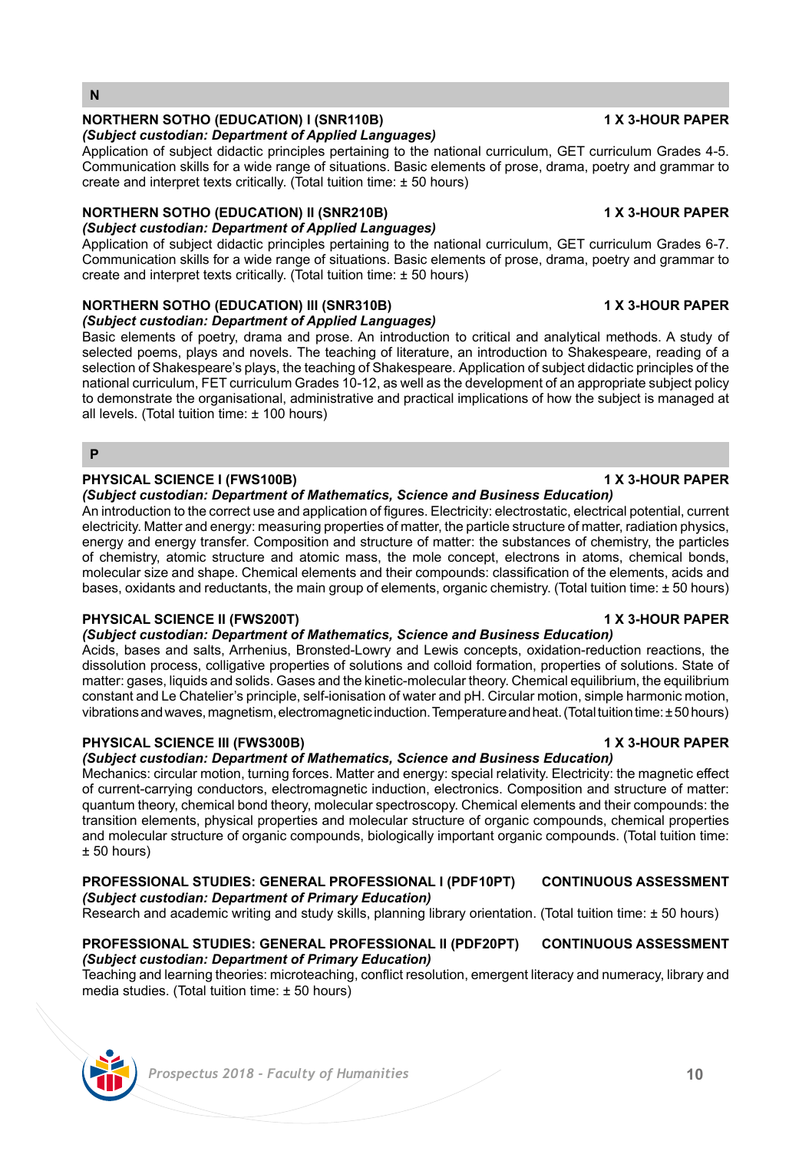## *Prospectus 2018 - Faculty of Humanities* **10**

### **NORTHERN SOTHO (EDUCATION) I (SNR110B) 1 X 3-HOUR PAPER**

# *(Subject custodian: Department of Applied Languages)*

Application of subject didactic principles pertaining to the national curriculum, GET curriculum Grades 4-5. Communication skills for a wide range of situations. Basic elements of prose, drama, poetry and grammar to create and interpret texts critically. (Total tuition time: ± 50 hours)

# **NORTHERN SOTHO (EDUCATION) II (SNR210B) 1 X 3-HOUR PAPER**

# *(Subject custodian: Department of Applied Languages)*

Application of subject didactic principles pertaining to the national curriculum, GET curriculum Grades 6-7. Communication skills for a wide range of situations. Basic elements of prose, drama, poetry and grammar to create and interpret texts critically. (Total tuition time: ± 50 hours)

# **NORTHERN SOTHO (EDUCATION) III (SNR310B) 1 X 3-HOUR PAPER**

### *(Subject custodian: Department of Applied Languages)*

Basic elements of poetry, drama and prose. An introduction to critical and analytical methods. A study of selected poems, plays and novels. The teaching of literature, an introduction to Shakespeare, reading of a selection of Shakespeare's plays, the teaching of Shakespeare. Application of subject didactic principles of the national curriculum, FET curriculum Grades 10-12, as well as the development of an appropriate subject policy to demonstrate the organisational, administrative and practical implications of how the subject is managed at all levels. (Total tuition time: ± 100 hours)

**P**

# **PHYSICAL SCIENCE I (FWS100B) 1 X 3-HOUR PAPER**

### *(Subject custodian: Department of Mathematics, Science and Business Education)*

An introduction to the correct use and application of figures. Electricity: electrostatic, electrical potential, current electricity. Matter and energy: measuring properties of matter, the particle structure of matter, radiation physics, energy and energy transfer. Composition and structure of matter: the substances of chemistry, the particles of chemistry, atomic structure and atomic mass, the mole concept, electrons in atoms, chemical bonds, molecular size and shape. Chemical elements and their compounds: classification of the elements, acids and bases, oxidants and reductants, the main group of elements, organic chemistry. (Total tuition time: ± 50 hours)

### **PHYSICAL SCIENCE II (FWS200T) 1 X 3-HOUR PAPER**

### *(Subject custodian: Department of Mathematics, Science and Business Education)*

Acids, bases and salts, Arrhenius, Bronsted-Lowry and Lewis concepts, oxidation-reduction reactions, the dissolution process, colligative properties of solutions and colloid formation, properties of solutions. State of matter: gases, liquids and solids. Gases and the kinetic-molecular theory. Chemical equilibrium, the equilibrium constant and Le Chatelier's principle, self-ionisation of water and pH. Circular motion, simple harmonic motion, vibrations and waves, magnetism, electromagnetic induction. Temperature and heat. (Total tuition time: ± 50 hours)

### **PHYSICAL SCIENCE III (FWS300B) 1 X 3-HOUR PAPER**

### *(Subject custodian: Department of Mathematics, Science and Business Education)*  Mechanics: circular motion, turning forces. Matter and energy: special relativity. Electricity: the magnetic effect of current-carrying conductors, electromagnetic induction, electronics. Composition and structure of matter: quantum theory, chemical bond theory, molecular spectroscopy. Chemical elements and their compounds: the transition elements, physical properties and molecular structure of organic compounds, chemical properties and molecular structure of organic compounds, biologically important organic compounds. (Total tuition time: ± 50 hours)

### **PROFESSIONAL STUDIES: GENERAL PROFESSIONAL I (PDF10PT) CONTINUOUS ASSESSMENT**  *(Subject custodian: Department of Primary Education)*

Research and academic writing and study skills, planning library orientation. (Total tuition time: ± 50 hours)

### **PROFESSIONAL STUDIES: GENERAL PROFESSIONAL II (PDF20PT) CONTINUOUS ASSESSMENT** *(Subject custodian: Department of Primary Education)*

Teaching and learning theories: microteaching, conflict resolution, emergent literacy and numeracy, library and media studies. (Total tuition time: ± 50 hours)

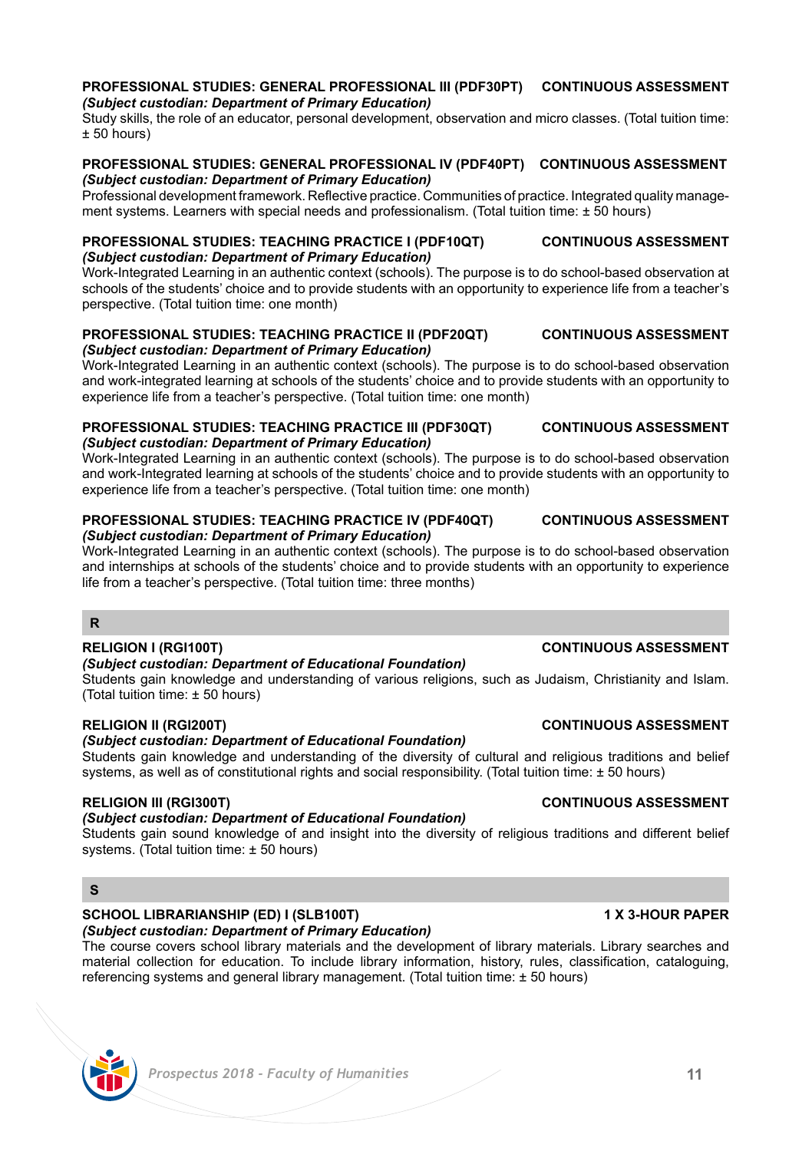### **PROFESSIONAL STUDIES: GENERAL PROFESSIONAL III (PDF30PT) CONTINUOUS ASSESSMENT** *(Subject custodian: Department of Primary Education)*

Study skills, the role of an educator, personal development, observation and micro classes. (Total tuition time: ± 50 hours)

### **PROFESSIONAL STUDIES: GENERAL PROFESSIONAL IV (PDF40PT) CONTINUOUS ASSESSMENT** *(Subject custodian: Department of Primary Education)*

Professional development framework. Reflective practice. Communities of practice. Integrated quality management systems. Learners with special needs and professionalism. (Total tuition time: ± 50 hours)

## **PROFESSIONAL STUDIES: TEACHING PRACTICE I (PDF10QT) CONTINUOUS ASSESSMENT** *(Subject custodian: Department of Primary Education)*

Work-Integrated Learning in an authentic context (schools). The purpose is to do school-based observation at schools of the students' choice and to provide students with an opportunity to experience life from a teacher's perspective. (Total tuition time: one month)

### **PROFESSIONAL STUDIES: TEACHING PRACTICE II (PDF20QT) CONTINUOUS ASSESSMENT** *(Subject custodian: Department of Primary Education)*

Work-Integrated Learning in an authentic context (schools). The purpose is to do school-based observation and work-integrated learning at schools of the students' choice and to provide students with an opportunity to experience life from a teacher's perspective. (Total tuition time: one month)

### **PROFESSIONAL STUDIES: TEACHING PRACTICE III (PDF30QT) CONTINUOUS ASSESSMENT** *(Subject custodian: Department of Primary Education)*

Work-Integrated Learning in an authentic context (schools). The purpose is to do school-based observation and work-Integrated learning at schools of the students' choice and to provide students with an opportunity to experience life from a teacher's perspective. (Total tuition time: one month)

### **PROFESSIONAL STUDIES: TEACHING PRACTICE IV (PDF40QT) CONTINUOUS ASSESSMENT** *(Subject custodian: Department of Primary Education)*

Work-Integrated Learning in an authentic context (schools). The purpose is to do school-based observation and internships at schools of the students' choice and to provide students with an opportunity to experience life from a teacher's perspective. (Total tuition time: three months)

# **R**

### *(Subject custodian: Department of Educational Foundation)*

Students gain knowledge and understanding of various religions, such as Judaism, Christianity and Islam. (Total tuition time: ± 50 hours)

### **RELIGION II (RGI200T) CONTINUOUS ASSESSMENT**

# *(Subject custodian: Department of Educational Foundation)*

Students gain knowledge and understanding of the diversity of cultural and religious traditions and belief systems, as well as of constitutional rights and social responsibility. (Total tuition time: ± 50 hours)

### **RELIGION III (RGI300T) CONTINUOUS ASSESSMENT**

### *(Subject custodian: Department of Educational Foundation)*

Students gain sound knowledge of and insight into the diversity of religious traditions and different belief systems. (Total tuition time: ± 50 hours)

# **S**

### **SCHOOL LIBRARIANSHIP (ED) I (SLB100T) 1 X 3-HOUR PAPER** *(Subject custodian: Department of Primary Education)*

The course covers school library materials and the development of library materials. Library searches and material collection for education. To include library information, history, rules, classification, cataloguing, referencing systems and general library management. (Total tuition time: ± 50 hours)

# **RELIGION I (RGI100T) CONTINUOUS ASSESSMENT**

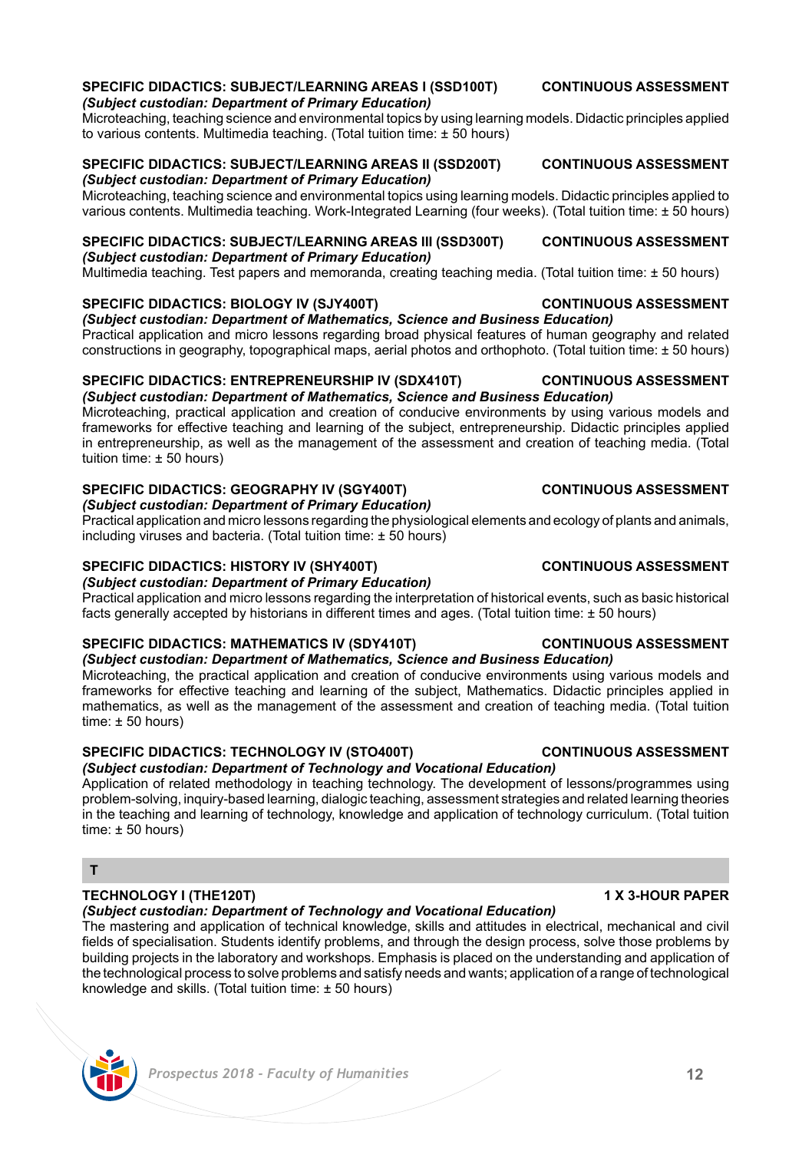# **SPECIFIC DIDACTICS: SUBJECT/LEARNING AREAS I (SSD100T) CONTINUOUS ASSESSMENT**

Microteaching, teaching science and environmental topics by using learning models. Didactic principles applied to various contents. Multimedia teaching. (Total tuition time: ± 50 hours)

# *(Subject custodian: Department of Primary Education)*

Microteaching, teaching science and environmental topics using learning models. Didactic principles applied to various contents. Multimedia teaching. Work-Integrated Learning (four weeks). (Total tuition time: ± 50 hours)

### **SPECIFIC DIDACTICS: SUBJECT/LEARNING AREAS III (SSD300T) CONTINUOUS ASSESSMENT** *(Subject custodian: Department of Primary Education)*

Multimedia teaching. Test papers and memoranda, creating teaching media. (Total tuition time: ± 50 hours)

### **SPECIFIC DIDACTICS: BIOLOGY IV (SJY400T) CONTINUOUS ASSESSMENT**

*(Subject custodian: Department of Mathematics, Science and Business Education)*  Practical application and micro lessons regarding broad physical features of human geography and related constructions in geography, topographical maps, aerial photos and orthophoto. (Total tuition time: ± 50 hours)

# **SPECIFIC DIDACTICS: ENTREPRENEURSHIP IV (SDX410T) CONTINUOUS ASSESSMENT**

*(Subject custodian: Department of Mathematics, Science and Business Education)* 

Microteaching, practical application and creation of conducive environments by using various models and frameworks for effective teaching and learning of the subject, entrepreneurship. Didactic principles applied in entrepreneurship, as well as the management of the assessment and creation of teaching media. (Total tuition time: ± 50 hours)

# **SPECIFIC DIDACTICS: GEOGRAPHY IV (SGY400T) CONTINUOUS ASSESSMENT**

*(Subject custodian: Department of Primary Education)*

Practical application and micro lessons regarding the physiological elements and ecology of plants and animals, including viruses and bacteria. (Total tuition time: ± 50 hours)

# **SPECIFIC DIDACTICS: HISTORY IV (SHY400T) CONTINUOUS ASSESSMENT**

### *(Subject custodian: Department of Primary Education)*

Practical application and micro lessons regarding the interpretation of historical events, such as basic historical facts generally accepted by historians in different times and ages. (Total tuition time: ± 50 hours)

# **SPECIFIC DIDACTICS: MATHEMATICS IV (SDY410T) CONTINUOUS ASSESSMENT**

*(Subject custodian: Department of Mathematics, Science and Business Education)*  Microteaching, the practical application and creation of conducive environments using various models and frameworks for effective teaching and learning of the subject, Mathematics. Didactic principles applied in mathematics, as well as the management of the assessment and creation of teaching media. (Total tuition  $time: ± 50 hours$ 

# **SPECIFIC DIDACTICS: TECHNOLOGY IV (STO400T) CONTINUOUS ASSESSMENT**

# *(Subject custodian: Department of Technology and Vocational Education)*

Application of related methodology in teaching technology. The development of lessons/programmes using problem-solving, inquiry-based learning, dialogic teaching, assessment strategies and related learning theories in the teaching and learning of technology, knowledge and application of technology curriculum. (Total tuition time:  $\pm$  50 hours)

# **T**

# **TECHNOLOGY I (THE120T) 1 X 3-HOUR PAPER**

# *(Subject custodian: Department of Technology and Vocational Education)*

The mastering and application of technical knowledge, skills and attitudes in electrical, mechanical and civil fields of specialisation. Students identify problems, and through the design process, solve those problems by building projects in the laboratory and workshops. Emphasis is placed on the understanding and application of the technological process to solve problems and satisfy needs and wants; application of a range of technological knowledge and skills. (Total tuition time: ± 50 hours)

# *(Subject custodian: Department of Primary Education)*

**SPECIFIC DIDACTICS: SUBJECT/LEARNING AREAS II (SSD200T) CONTINUOUS ASSESSMENT**